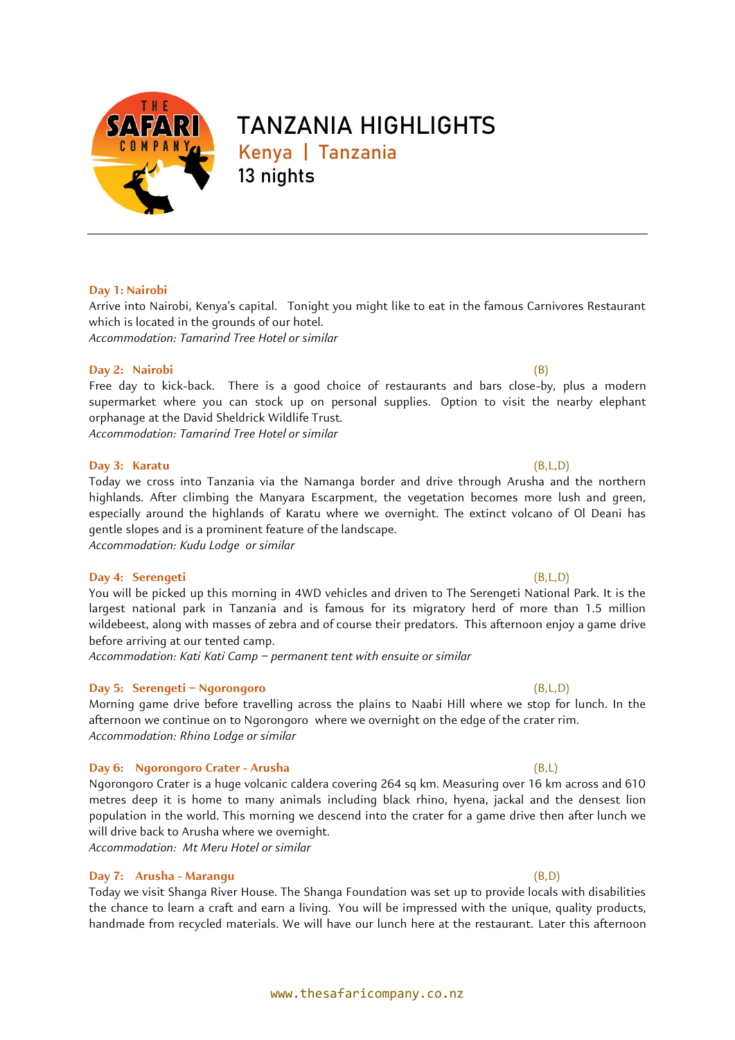

# **TANZANIA HIGHLIGHTS Kenya | Tanzania** 13 nights

#### **Day 1: Nairobi**

Arrive into Nairobi, Kenya's capital. Tonight you might like to eat in the famous Carnivores Restaurant which is located in the grounds of our hotel. *Accommodation: Tamarind Tree Hotel or similar*

#### **Day 2: Nairobi** (B)

Free day to kick-back. There is a good choice of restaurants and bars close-by, plus a modern supermarket where you can stock up on personal supplies. Option to visit the nearby elephant orphanage at the David Sheldrick Wildlife Trust.

*Accommodation: Tamarind Tree Hotel or similar*

#### **Day 3: Karatu** (B,L,D)

Today we cross into Tanzania via the Namanga border and drive through Arusha and the northern highlands. After climbing the Manyara Escarpment, the vegetation becomes more lush and green, especially around the highlands of Karatu where we overnight. The extinct volcano of Ol Deani has gentle slopes and is a prominent feature of the landscape. *Accommodation: Kudu Lodge or similar*

# **Day 4: Serengeti** (B,L,D)

You will be picked up this morning in 4WD vehicles and driven to The Serengeti National Park. It is the largest national park in Tanzania and is famous for its migratory herd of more than 1.5 million wildebeest, along with masses of zebra and of course their predators. This afternoon enjoy a game drive before arriving at our tented camp.

*Accommodation: Kati Kati Camp – permanent tent with ensuite or similar*

#### **Day 5: Serengeti – Ngorongoro** (B,L,D)

Morning game drive before travelling across the plains to Naabi Hill where we stop for lunch. In the afternoon we continue on to Ngorongoro where we overnight on the edge of the crater rim. *Accommodation: Rhino Lodge or similar*

#### **Day 6: Ngorongoro Crater - Arusha** (B,L)

Ngorongoro Crater is a huge volcanic caldera covering 264 sq km. Measuring over 16 km across and 610 metres deep it is home to many animals including black rhino, hyena, jackal and the densest lion population in the world. This morning we descend into the crater for a game drive then after lunch we will drive back to Arusha where we overnight.

*Accommodation: Mt Meru Hotel or similar*

### **Day 7: Arusha - Marangu** (B,D)

Today we visit Shanga River House. The Shanga Foundation was set up to provide locals with disabilities the chance to learn a craft and earn a living. You will be impressed with the unique, quality products, handmade from recycled materials. We will have our lunch here at the restaurant. Later this afternoon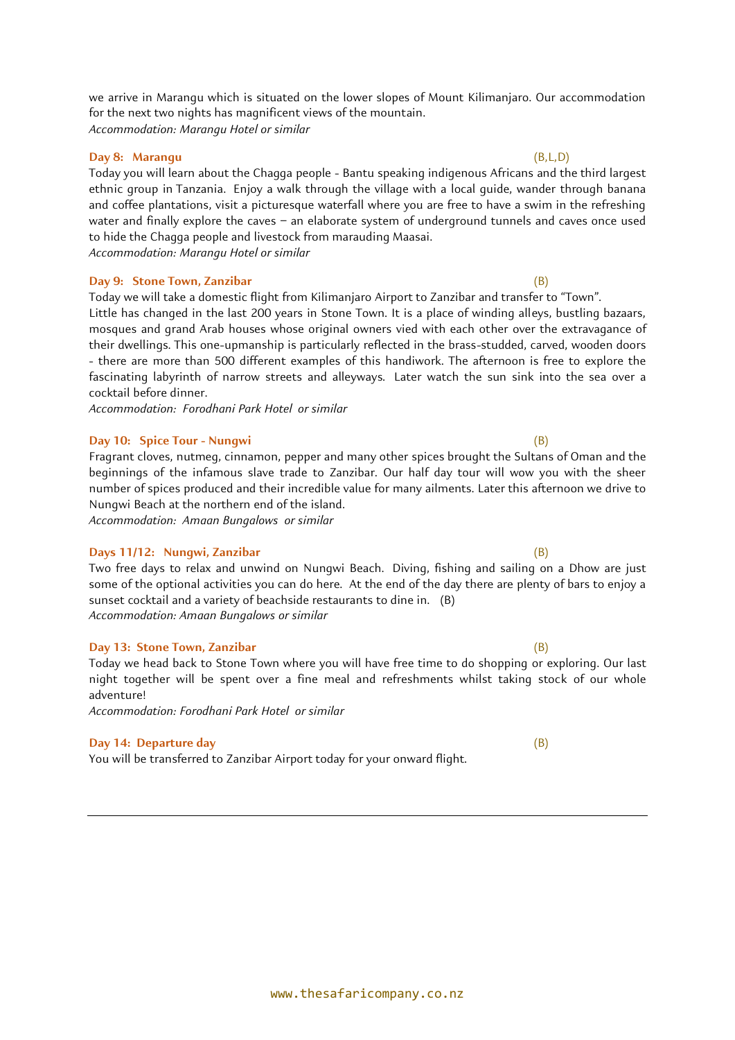we arrive in Marangu which is situated on the lower slopes of Mount Kilimanjaro. Our accommodation for the next two nights has magnificent views of the mountain. *Accommodation: Marangu Hotel or similar*

### **Day 8: Marangu** (B,L,D)

Today you will learn about the Chagga people - [Bantu](https://en.wikipedia.org/wiki/Bantu_languages) speaking [indigenous](https://en.wikipedia.org/wiki/Indigenous_peoples_of_Africa) Africans and the third largest ethnic group in [Tanzania.](https://en.wikipedia.org/wiki/Tanzania) Enjoy a walk through the village with a local guide, wander through banana and coffee plantations, visit a picturesque waterfall where you are free to have a swim in the refreshing water and finally explore the caves – an elaborate system of underground tunnels and caves once used to hide the Chagga people and livestock from marauding Maasai. *Accommodation: Marangu Hotel or similar*

#### **Day 9: Stone Town, Zanzibar** (B)

Today we will take a domestic flight from Kilimanjaro Airport to Zanzibar and transfer to "Town".

Little has changed in the last 200 years in Stone Town. It is a place of winding alleys, bustling bazaars, mosques and grand Arab houses whose original owners vied with each other over the extravagance of their dwellings. This one-upmanship is particularly reflected in the brass-studded, carved, wooden doors - there are more than 500 different examples of this handiwork. The afternoon is free to explore the fascinating labyrinth of narrow streets and alleyways. Later watch the sun sink into the sea over a cocktail before dinner.

*Accommodation: Forodhani Park Hotel or similar*

#### **Day 10: Spice Tour - Nungwi** (B)

Fragrant cloves, nutmeg, cinnamon, pepper and many other spices brought the Sultans of Oman and the beginnings of the infamous slave trade to Zanzibar. Our half day tour will wow you with the sheer number of spices produced and their incredible value for many ailments. Later this afternoon we drive to Nungwi Beach at the northern end of the island.

*Accommodation: Amaan Bungalows or similar*

#### **Days 11/12: Nungwi, Zanzibar** (B)

Two free days to relax and unwind on Nungwi Beach. Diving, fishing and sailing on a Dhow are just some of the optional activities you can do here. At the end of the day there are plenty of bars to enjoy a sunset cocktail and a variety of beachside restaurants to dine in. (B) *Accommodation: Amaan Bungalows or similar*

#### **Day 13: Stone Town, Zanzibar** (B)

Today we head back to Stone Town where you will have free time to do shopping or exploring. Our last night together will be spent over a fine meal and refreshments whilst taking stock of our whole adventure!

*Accommodation: Forodhani Park Hotel or similar*

### **Day 14: Departure day** (B)

You will be transferred to Zanzibar Airport today for your onward flight.